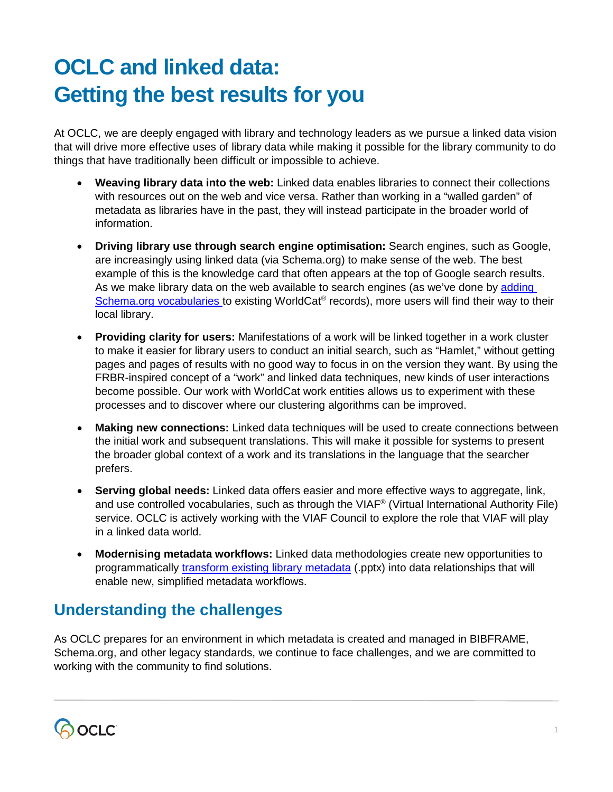## **OCLC and linked data: Getting the best results for you**

At OCLC, we are deeply engaged with library and technology leaders as we pursue a linked data vision that will drive more effective uses of library data while making it possible for the library community to do things that have traditionally been difficult or impossible to achieve.

- **Weaving library data into the web:** Linked data enables libraries to connect their collections with resources out on the web and vice versa. Rather than working in a "walled garden" of metadata as libraries have in the past, they will instead participate in the broader world of information.
- **Driving library use through search engine optimisation:** Search engines, such as Google, are increasingly using linked data (via Schema.org) to make sense of the web. The best example of this is the knowledge card that often appears at the top of Google search results. As we make library data on the web available to search engines (as we've done by [adding](http://experiment.worldcat.org/entity/work/data/2283978583)  [Schema.org vocabularies](http://experiment.worldcat.org/entity/work/data/2283978583) to existing WorldCat® records), more users will find their way to their local library.
- **Providing clarity for users:** Manifestations of a work will be linked together in a work cluster to make it easier for library users to conduct an initial search, such as "Hamlet," without getting pages and pages of results with no good way to focus in on the version they want. By using the FRBR-inspired concept of a "work" and linked data techniques, new kinds of user interactions become possible. Our work with WorldCat work entities allows us to experiment with these processes and to discover where our clustering algorithms can be improved.
- Making new connections: Linked data techniques will be used to create connections between the initial work and subsequent translations. This will make it possible for systems to present the broader global context of a work and its translations in the language that the searcher prefers.
- **Serving global needs:** Linked data offers easier and more effective ways to aggregate, link, and use controlled vocabularies, such as through the VIAF® (Virtual International Authority File) service. OCLC is actively working with the VIAF Council to explore the role that VIAF will play in a linked data world.
- **Modernising metadata workflows:** Linked data methodologies create new opportunities to programmatically [transform existing library metadata](https://www.mcgill.ca/clds/files/clds/mixter-en.pptx) (.pptx) into data relationships that will enable new, simplified metadata workflows.

## **Understanding the challenges**

As OCLC prepares for an environment in which metadata is created and managed in BIBFRAME, Schema.org, and other legacy standards, we continue to face challenges, and we are committed to working with the community to find solutions.

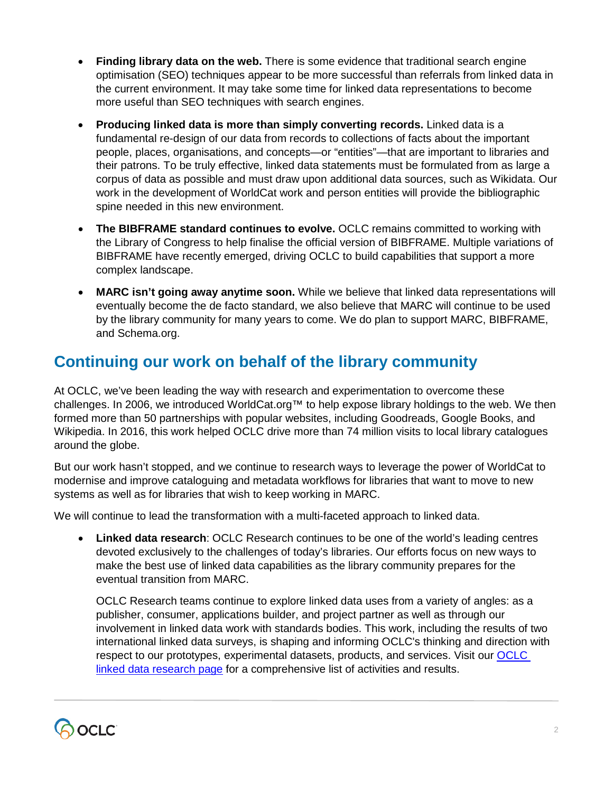- **Finding library data on the web.** There is some evidence that traditional search engine optimisation (SEO) techniques appear to be more successful than referrals from linked data in the current environment. It may take some time for linked data representations to become more useful than SEO techniques with search engines.
- **Producing linked data is more than simply converting records.** Linked data is a fundamental re-design of our data from records to collections of facts about the important people, places, organisations, and concepts—or "entities"—that are important to libraries and their patrons. To be truly effective, linked data statements must be formulated from as large a corpus of data as possible and must draw upon additional data sources, such as Wikidata. Our work in the development of WorldCat work and person entities will provide the bibliographic spine needed in this new environment.
- **The BIBFRAME standard continues to evolve.** OCLC remains committed to working with the Library of Congress to help finalise the official version of BIBFRAME. Multiple variations of BIBFRAME have recently emerged, driving OCLC to build capabilities that support a more complex landscape.
- **MARC isn't going away anytime soon.** While we believe that linked data representations will eventually become the de facto standard, we also believe that MARC will continue to be used by the library community for many years to come. We do plan to support MARC, BIBFRAME, and Schema.org.

## **Continuing our work on behalf of the library community**

At OCLC, we've been leading the way with research and experimentation to overcome these challenges. In 2006, we introduced WorldCat.org™ to help expose library holdings to the web. We then formed more than 50 partnerships with popular websites, including Goodreads, Google Books, and Wikipedia. In 2016, this work helped OCLC drive more than 74 million visits to local library catalogues around the globe.

But our work hasn't stopped, and we continue to research ways to leverage the power of WorldCat to modernise and improve cataloguing and metadata workflows for libraries that want to move to new systems as well as for libraries that wish to keep working in MARC.

We will continue to lead the transformation with a multi-faceted approach to linked data.

• **Linked data research**: OCLC Research continues to be one of the world's leading centres devoted exclusively to the challenges of today's libraries. Our efforts focus on new ways to make the best use of linked data capabilities as the library community prepares for the eventual transition from MARC.

OCLC Research teams continue to explore linked data uses from a variety of angles: as a publisher, consumer, applications builder, and project partner as well as through our involvement in linked data work with standards bodies. This work, including the results of two international linked data surveys, is shaping and informing OCLC's thinking and direction with respect to our prototypes, experimental datasets, products, and services. Visit our [OCLC](http://www.oclc.org/research/themes/data-science/linkeddata.html)  [linked data research](http://www.oclc.org/research/themes/data-science/linkeddata.html) page for a comprehensive list of activities and results.

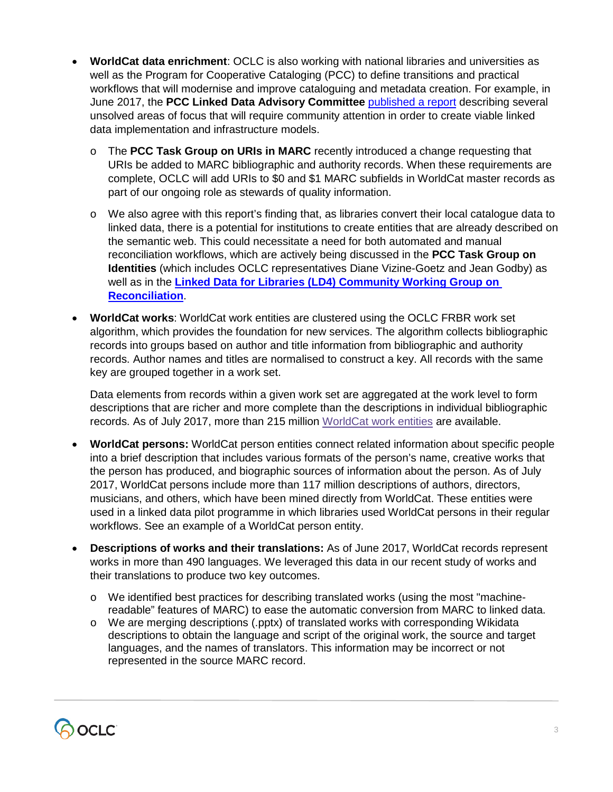- **WorldCat data enrichment**: OCLC is also working with national libraries and universities as well as the Program for Cooperative Cataloging (PCC) to define transitions and practical workflows that will modernise and improve cataloguing and metadata creation. For example, in June 2017, the **PCC Linked Data Advisory Committee** [published a report](https://www.loc.gov/aba/pcc/documents/LinkedDataInfrastructureModels.pdf) describing several unsolved areas of focus that will require community attention in order to create viable linked data implementation and infrastructure models.
	- o The **PCC Task Group on URIs in MARC** recently introduced a change requesting that URIs be added to MARC bibliographic and authority records. When these requirements are complete, OCLC will add URIs to \$0 and \$1 MARC subfields in WorldCat master records as part of our ongoing role as stewards of quality information.
	- o We also agree with this report's finding that, as libraries convert their local catalogue data to linked data, there is a potential for institutions to create entities that are already described on the semantic web. This could necessitate a need for both automated and manual reconciliation workflows, which are actively being discussed in the **PCC Task Group on Identities** (which includes OCLC representatives Diane Vizine-Goetz and Jean Godby) as well as in the **[Linked Data for Libraries \(LD4\) Community Working Group on](https://github.com/LD4/ld4-community-recon/wiki)  [Reconciliation](https://github.com/LD4/ld4-community-recon/wiki)**.
- **WorldCat works**: WorldCat work entities are clustered using the OCLC FRBR work set algorithm, which provides the foundation for new services. The algorithm collects bibliographic records into groups based on author and title information from bibliographic and authority records. Author names and titles are normalised to construct a key. All records with the same key are grouped together in a work set.

Data elements from records within a given work set are aggregated at the work level to form descriptions that are richer and more complete than the descriptions in individual bibliographic records. As of July 2017, more than 215 million [WorldCat work entities](http://www.oclc.org/developer/develop/linked-data/worldcat-entities/worldcat-work-entity.en.html) are available.

- **WorldCat persons:** WorldCat person entities connect related information about specific people into a brief description that includes various formats of the person's name, creative works that the person has produced, and biographic sources of information about the person. As of July 2017, WorldCat persons include more than 117 million descriptions of authors, directors, musicians, and others, which have been mined directly from WorldCat. These entities were used in a linked data pilot programme in which libraries used WorldCat persons in their regular workflows. See an example of a [WorldCat person entity.](http://experiment.worldcat.org/entity/person/data/2632761471)
- **Descriptions of works and their translations:** As of June 2017, WorldCat records represent works in more than 490 languages. We leveraged this data in our recent study of works and their translations to produce two key outcomes.
	- o We identified [best practices](https://www.asist.org/publications/bulletin/decemberjanuary-2017/from-records-to-things-managing-the-transition-from-legacy-library-metadata-to-linked-data) for describing translated works (using the most "machinereadable" features of MARC) to ease the automatic conversion from MARC to linked data.
	- o We are [merging descriptions](http://www.oclc.org/content/dam/research/presentations/smith-yoshimura/oclcresearch-challenges-of-multilingualism-lorentz-workshop-2017.pptx) (.pptx) of translated works with corresponding Wikidata descriptions to obtain the language and script of the original work, the source and target languages, and the names of translators. This information may be incorrect or not represented in the source MARC record.